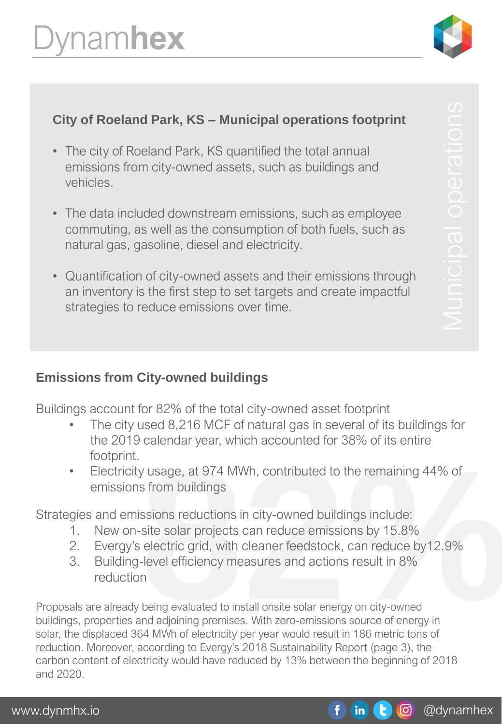

# **City of Roeland Park, KS – Municipal operations footprint**

- The city of Roeland Park, KS quantified the total annual emissions from city-owned assets, such as buildings and vehicles.
- The data included downstream emissions, such as employee commuting, as well as the consumption of both fuels, such as natural gas, gasoline, diesel and electricity.
- Quantification of city-owned assets and their emissions through an inventory is the first step to set targets and create impactful strategies to reduce emissions over time.

## **Emissions from City-owned buildings**

Buildings account for 82% of the total city-owned asset footprint

- The city used 8,216 MCF of natural gas in several of its buildings for the 2019 calendar year, which accounted for 38% of its entire footprint.
- Electricity usage, at 974 MWh, contributed to the remaining 44% of emissions from buildings

Strategies and emissions reductions in city-owned buildings include:

- 1. New on-site solar projects can reduce emissions by 15.8%
- 2. Evergy's electric grid, with cleaner feedstock, can reduce by12.9%
- 3. Building-level efficiency measures and actions result in 8% reduction

% y usage, at 974 MWh, contributed to the remaining 44% of<br>s from buildings<br>ssions reductions in city-owned buildings include:<br>site solar projects can reduce emissions by 15.8%<br>electric grid, with cleaner feedstock, can re Proposals are already being evaluated to install onsite solar energy on city-owned buildings, properties and adjoining premises. With zero-emissions source of energy in solar, the displaced 364 MWh of electricity per year would result in 186 metric tons of reduction. Moreover, according to Evergy's 2018 Sustainability Report (page 3), the carbon content of electricity would have reduced by 13% between the beginning of 2018 and 2020.

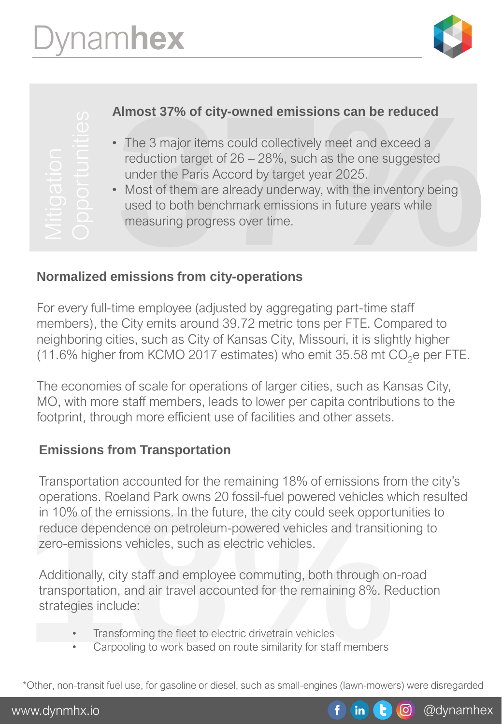

- The 3 major items could collectively meet and exceed a reduction target of 26 – 28%, such as the one suggested under the Paris Accord by target year 2025.
- Almost 37% of city-owned emissions can be reduced<br>
 The 3 major items could collectively meet and exceed a<br>
reduction target of 26 28%, such as the one suggested<br>
under the Paris Accord by target year 2025.<br>
 Most of t • Most of them are already underway, with the inventory being used to both benchmark emissions in future years while measuring progress over time.

## **Normalized emissions from city-operations**

For every full-time employee (adjusted by aggregating part-time staff members), the City emits around 39.72 metric tons per FTE. Compared to neighboring cities, such as City of Kansas City, Missouri, it is slightly higher (11.6% higher from KCMO 2017 estimates) who emit  $35.58$  mt  $CO<sub>2</sub>e$  per FTE. For every full-time employee (adjusted by aggregating part-time sconding more than the particle of 26 – 28%, such as the one sumder the Paris Accord by target year 2025.<br>
Most of them are already underway, with the inverse

The economies of scale for operations of larger cities, such as Kansas City, MO, with more staff members, leads to lower per capita contributions to the

# **Emissions from Transportation**

operations. Roeland Park owns 20 fossil-fuel powered vehicles w<br>in 10% of the emissions. In the future, the city could seek opport<br>reduce dependence on petroleum-powered vehicles and transition<br>zero-emissions vehicles, suc Transportation accounted for the remaining 18% of emissions from the city's operations. Roeland Park owns 20 fossil-fuel powered vehicles which resulted in 10% of the emissions. In the future, the city could seek opportunities to reduce dependence on petroleum-powered vehicles and transitioning to zero-emissions vehicles, such as electric vehicles.

Additionally, city staff and employee commuting, both through on-road transportation, and air travel accounted for the remaining 8%. Reduction strategies include:

- Transforming the fleet to electric drivetrain vehicles
- Carpooling to work based on route similarity for staff members

\*Other, non-transit fuel use, for gasoline or diesel, such as small-engines (lawn-mowers) were disregarded